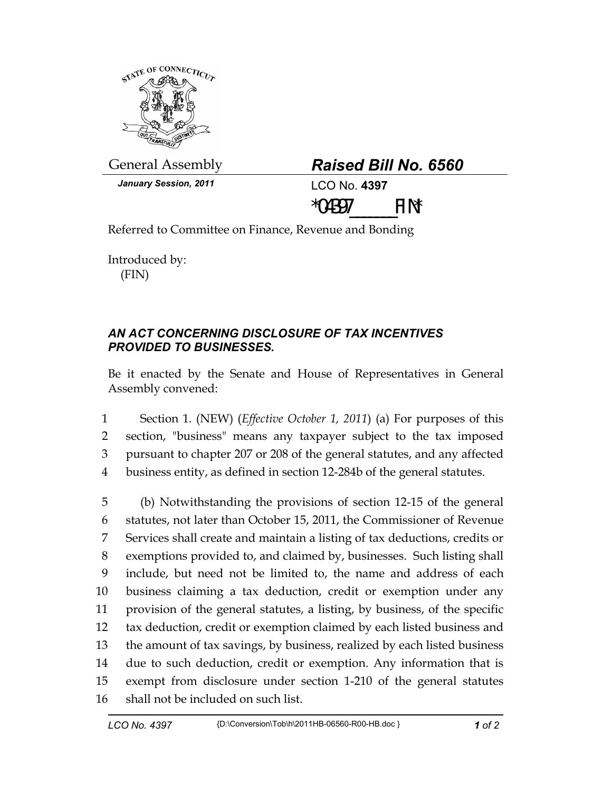

General Assembly *Raised Bill No. 6560* 

| <b>Raised Bill No. 6560</b> |  |  |  |
|-----------------------------|--|--|--|
|-----------------------------|--|--|--|

*January Session, 2011* **LCO No. 4397** 



Referred to Committee on Finance, Revenue and Bonding

Introduced by: (FIN)

## *AN ACT CONCERNING DISCLOSURE OF TAX INCENTIVES PROVIDED TO BUSINESSES.*

Be it enacted by the Senate and House of Representatives in General Assembly convened:

1 Section 1. (NEW) (*Effective October 1, 2011*) (a) For purposes of this 2 section, "business" means any taxpayer subject to the tax imposed 3 pursuant to chapter 207 or 208 of the general statutes, and any affected 4 business entity, as defined in section 12-284b of the general statutes.

5 (b) Notwithstanding the provisions of section 12-15 of the general 6 statutes, not later than October 15, 2011, the Commissioner of Revenue 7 Services shall create and maintain a listing of tax deductions, credits or 8 exemptions provided to, and claimed by, businesses. Such listing shall 9 include, but need not be limited to, the name and address of each 10 business claiming a tax deduction, credit or exemption under any 11 provision of the general statutes, a listing, by business, of the specific 12 tax deduction, credit or exemption claimed by each listed business and 13 the amount of tax savings, by business, realized by each listed business 14 due to such deduction, credit or exemption. Any information that is 15 exempt from disclosure under section 1-210 of the general statutes 16 shall not be included on such list.